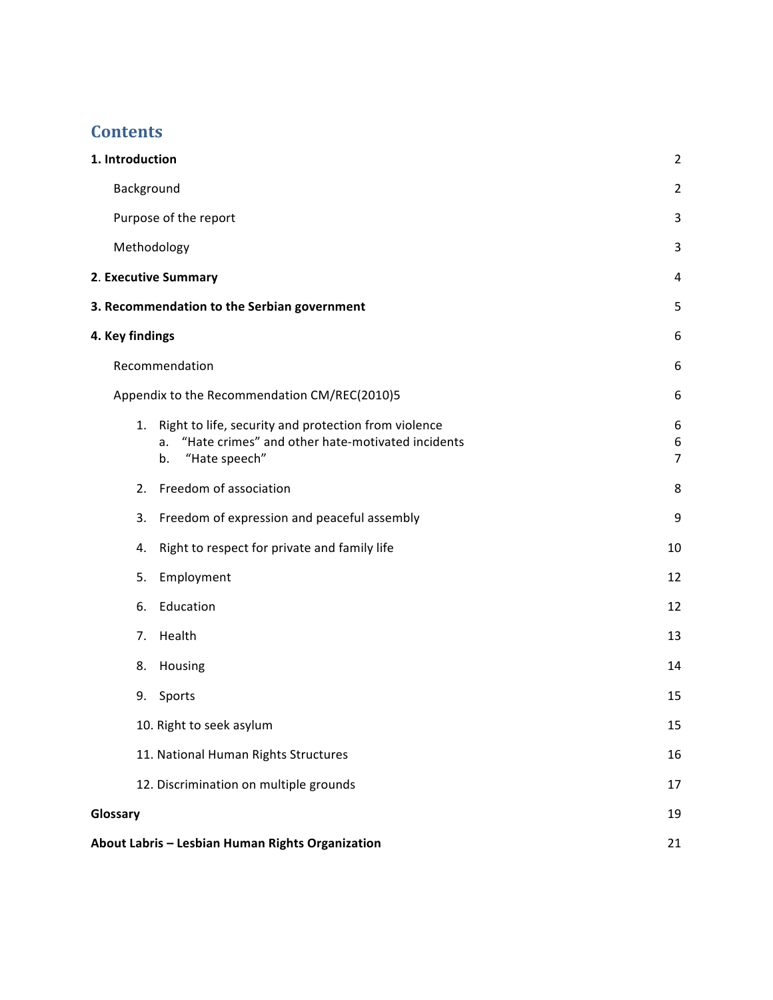# **Contents**

| 1. Introduction                                                                                                                             | $\overline{2}$           |
|---------------------------------------------------------------------------------------------------------------------------------------------|--------------------------|
| Background                                                                                                                                  | $\overline{2}$           |
| Purpose of the report                                                                                                                       | 3                        |
| Methodology                                                                                                                                 | 3                        |
| 2. Executive Summary                                                                                                                        | 4                        |
| 3. Recommendation to the Serbian government                                                                                                 | 5                        |
| 4. Key findings                                                                                                                             | 6                        |
| Recommendation                                                                                                                              | 6                        |
| Appendix to the Recommendation CM/REC(2010)5                                                                                                | 6                        |
| Right to life, security and protection from violence<br>1.<br>"Hate crimes" and other hate-motivated incidents<br>a.<br>"Hate speech"<br>b. | 6<br>6<br>$\overline{7}$ |
| Freedom of association<br>2.                                                                                                                | 8                        |
| Freedom of expression and peaceful assembly<br>3.                                                                                           | 9                        |
| Right to respect for private and family life<br>4.                                                                                          | 10                       |
| Employment<br>5.                                                                                                                            | 12                       |
| Education<br>6.                                                                                                                             | 12                       |
| Health<br>7.                                                                                                                                | 13                       |
| Housing<br>8.                                                                                                                               | 14                       |
| 9.<br>Sports                                                                                                                                | 15                       |
| 10. Right to seek asylum                                                                                                                    | 15                       |
| 11. National Human Rights Structures                                                                                                        | 16                       |
| 12. Discrimination on multiple grounds                                                                                                      | 17                       |
| Glossary                                                                                                                                    | 19                       |
| About Labris - Lesbian Human Rights Organization                                                                                            | 21                       |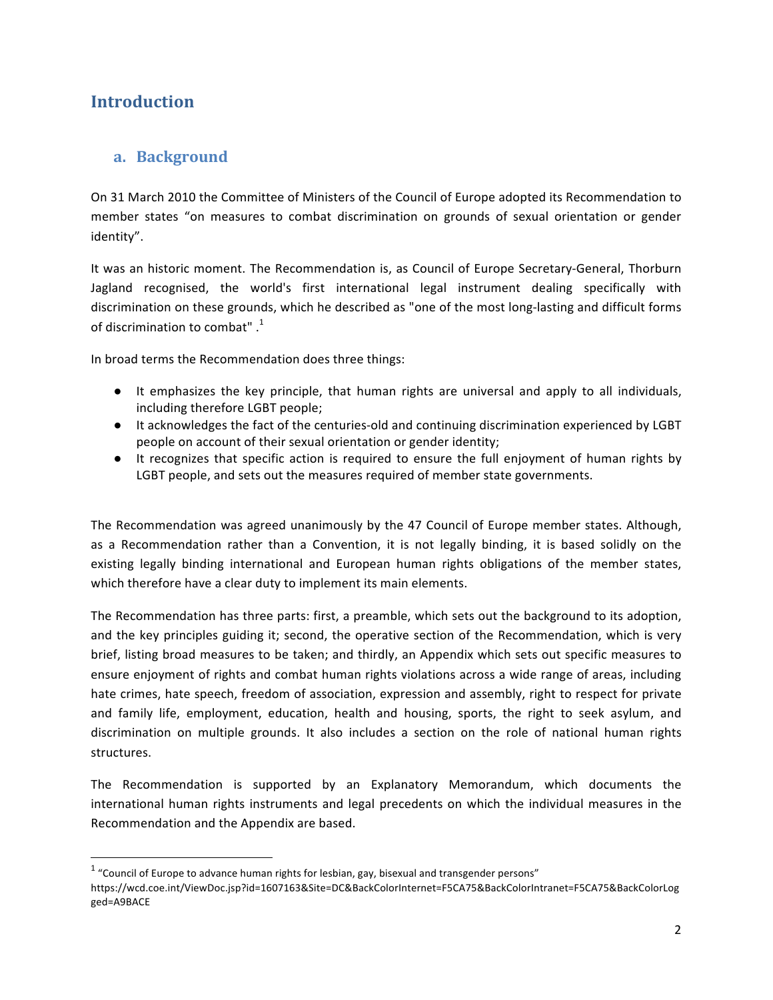# **Introduction**

## **a. Background**

On 31 March 2010 the Committee of Ministers of the Council of Europe adopted its Recommendation to member states "on measures to combat discrimination on grounds of sexual orientation or gender identity".

It was an historic moment. The Recommendation is, as Council of Europe Secretary-General, Thorburn Jagland recognised, the world's first international legal instrument dealing specifically with discrimination on these grounds, which he described as "one of the most long-lasting and difficult forms of discrimination to combat".<sup>1</sup>

In broad terms the Recommendation does three things:

- It emphasizes the key principle, that human rights are universal and apply to all individuals, including therefore LGBT people;
- It acknowledges the fact of the centuries-old and continuing discrimination experienced by LGBT people on account of their sexual orientation or gender identity;
- It recognizes that specific action is required to ensure the full enjoyment of human rights by LGBT people, and sets out the measures required of member state governments.

The Recommendation was agreed unanimously by the 47 Council of Europe member states. Although, as a Recommendation rather than a Convention, it is not legally binding, it is based solidly on the existing legally binding international and European human rights obligations of the member states, which therefore have a clear duty to implement its main elements.

The Recommendation has three parts: first, a preamble, which sets out the background to its adoption, and the key principles guiding it; second, the operative section of the Recommendation, which is very brief, listing broad measures to be taken; and thirdly, an Appendix which sets out specific measures to ensure enjoyment of rights and combat human rights violations across a wide range of areas, including hate crimes, hate speech, freedom of association, expression and assembly, right to respect for private and family life, employment, education, health and housing, sports, the right to seek asylum, and discrimination on multiple grounds. It also includes a section on the role of national human rights structures.

The Recommendation is supported by an Explanatory Memorandum, which documents the international human rights instruments and legal precedents on which the individual measures in the Recommendation and the Appendix are based.

 

 $1$  "Council of Europe to advance human rights for lesbian, gay, bisexual and transgender persons"

https://wcd.coe.int/ViewDoc.jsp?id=1607163&Site=DC&BackColorInternet=F5CA75&BackColorIntranet=F5CA75&BackColorLog ged=A9BACE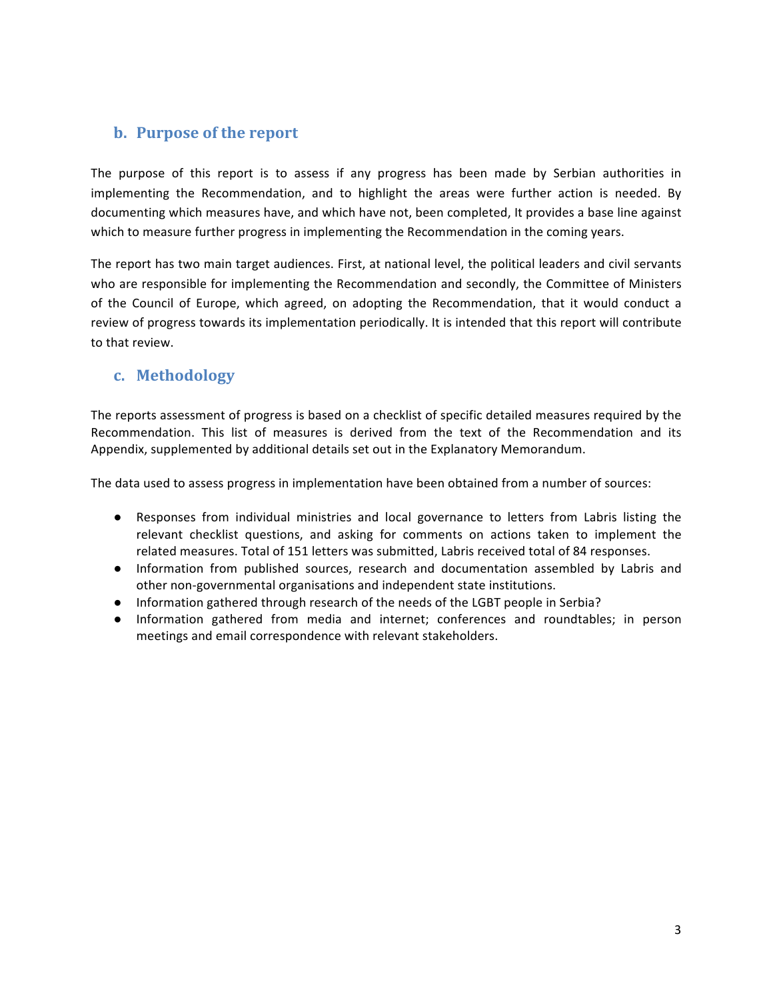# **b.** Purpose of the report

The purpose of this report is to assess if any progress has been made by Serbian authorities in implementing the Recommendation, and to highlight the areas were further action is needed. By documenting which measures have, and which have not, been completed, It provides a base line against which to measure further progress in implementing the Recommendation in the coming years.

The report has two main target audiences. First, at national level, the political leaders and civil servants who are responsible for implementing the Recommendation and secondly, the Committee of Ministers of the Council of Europe, which agreed, on adopting the Recommendation, that it would conduct a review of progress towards its implementation periodically. It is intended that this report will contribute to that review.

# **c. Methodology**

The reports assessment of progress is based on a checklist of specific detailed measures required by the Recommendation. This list of measures is derived from the text of the Recommendation and its Appendix, supplemented by additional details set out in the Explanatory Memorandum.

The data used to assess progress in implementation have been obtained from a number of sources:

- Responses from individual ministries and local governance to letters from Labris listing the relevant checklist questions, and asking for comments on actions taken to implement the related measures. Total of 151 letters was submitted, Labris received total of 84 responses.
- Information from published sources, research and documentation assembled by Labris and other non-governmental organisations and independent state institutions.
- Information gathered through research of the needs of the LGBT people in Serbia?
- Information gathered from media and internet; conferences and roundtables; in person meetings and email correspondence with relevant stakeholders.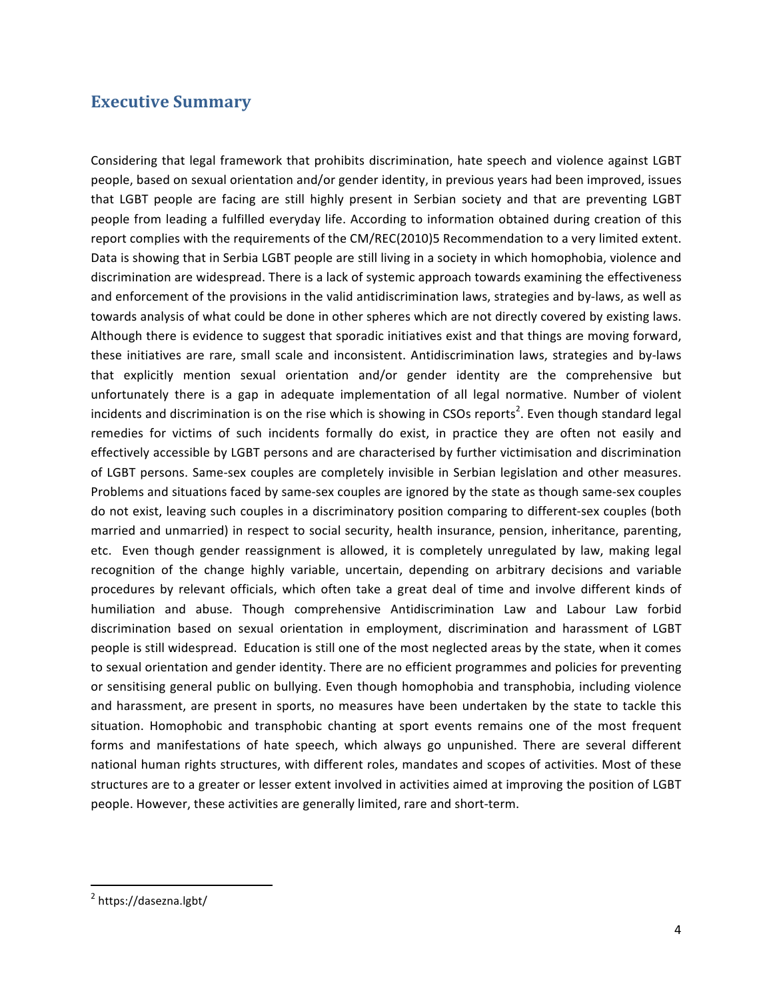## **Executive Summary**

Considering that legal framework that prohibits discrimination, hate speech and violence against LGBT people, based on sexual orientation and/or gender identity, in previous years had been improved, issues that LGBT people are facing are still highly present in Serbian society and that are preventing LGBT people from leading a fulfilled everyday life. According to information obtained during creation of this report complies with the requirements of the CM/REC(2010)5 Recommendation to a very limited extent. Data is showing that in Serbia LGBT people are still living in a society in which homophobia, violence and discrimination are widespread. There is a lack of systemic approach towards examining the effectiveness and enforcement of the provisions in the valid antidiscrimination laws, strategies and by-laws, as well as towards analysis of what could be done in other spheres which are not directly covered by existing laws. Although there is evidence to suggest that sporadic initiatives exist and that things are moving forward, these initiatives are rare, small scale and inconsistent. Antidiscrimination laws, strategies and by-laws that explicitly mention sexual orientation and/or gender identity are the comprehensive but unfortunately there is a gap in adequate implementation of all legal normative. Number of violent incidents and discrimination is on the rise which is showing in CSOs reports<sup>2</sup>. Even though standard legal remedies for victims of such incidents formally do exist, in practice they are often not easily and effectively accessible by LGBT persons and are characterised by further victimisation and discrimination of LGBT persons. Same-sex couples are completely invisible in Serbian legislation and other measures. Problems and situations faced by same-sex couples are ignored by the state as though same-sex couples do not exist, leaving such couples in a discriminatory position comparing to different-sex couples (both married and unmarried) in respect to social security, health insurance, pension, inheritance, parenting, etc. Even though gender reassignment is allowed, it is completely unregulated by law, making legal recognition of the change highly variable, uncertain, depending on arbitrary decisions and variable procedures by relevant officials, which often take a great deal of time and involve different kinds of humiliation and abuse. Though comprehensive Antidiscrimination Law and Labour Law forbid discrimination based on sexual orientation in employment, discrimination and harassment of LGBT people is still widespread. Education is still one of the most neglected areas by the state, when it comes to sexual orientation and gender identity. There are no efficient programmes and policies for preventing or sensitising general public on bullying. Even though homophobia and transphobia, including violence and harassment, are present in sports, no measures have been undertaken by the state to tackle this situation. Homophobic and transphobic chanting at sport events remains one of the most frequent forms and manifestations of hate speech, which always go unpunished. There are several different national human rights structures, with different roles, mandates and scopes of activities. Most of these structures are to a greater or lesser extent involved in activities aimed at improving the position of LGBT people. However, these activities are generally limited, rare and short-term.

<u> 1989 - Johann Stein, markin film yn y breninn y breninn y breninn y breninn y breninn y breninn y breninn y b</u>

<sup>2</sup> https://dasezna.lgbt/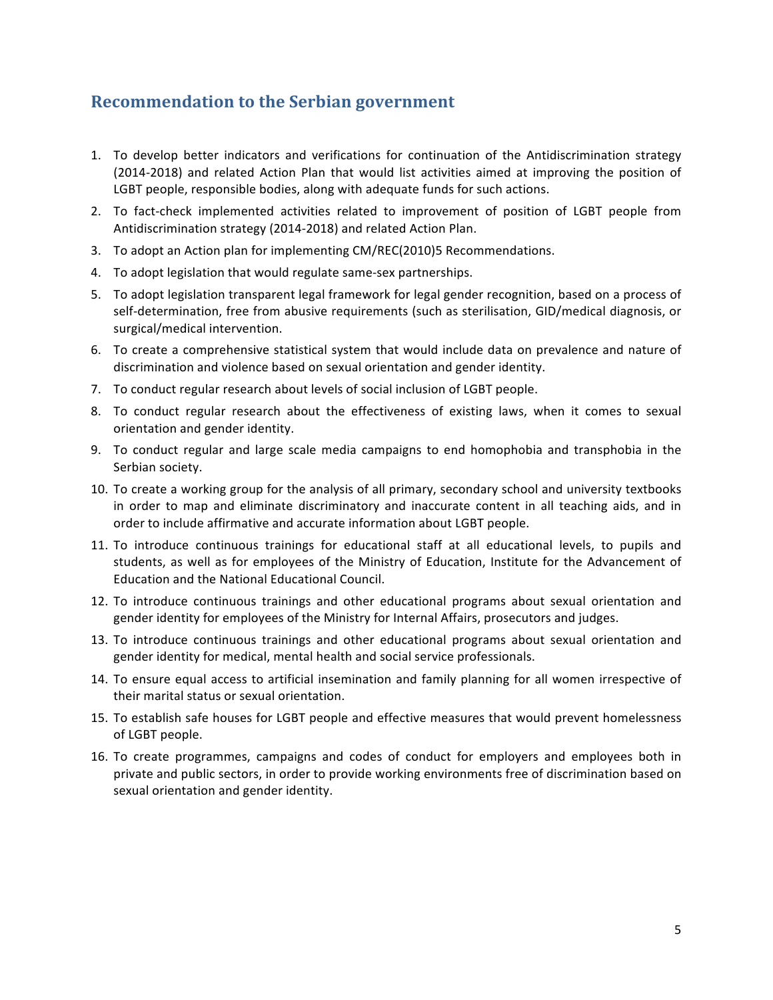# **Recommendation to the Serbian government**

- 1. To develop better indicators and verifications for continuation of the Antidiscrimination strategy (2014-2018) and related Action Plan that would list activities aimed at improving the position of LGBT people, responsible bodies, along with adequate funds for such actions.
- 2. To fact-check implemented activities related to improvement of position of LGBT people from Antidiscrimination strategy (2014-2018) and related Action Plan.
- 3. To adopt an Action plan for implementing CM/REC(2010)5 Recommendations.
- 4. To adopt legislation that would regulate same-sex partnerships.
- 5. To adopt legislation transparent legal framework for legal gender recognition, based on a process of self-determination, free from abusive requirements (such as sterilisation, GID/medical diagnosis, or surgical/medical intervention.
- 6. To create a comprehensive statistical system that would include data on prevalence and nature of discrimination and violence based on sexual orientation and gender identity.
- 7. To conduct regular research about levels of social inclusion of LGBT people.
- 8. To conduct regular research about the effectiveness of existing laws, when it comes to sexual orientation and gender identity.
- 9. To conduct regular and large scale media campaigns to end homophobia and transphobia in the Serbian society.
- 10. To create a working group for the analysis of all primary, secondary school and university textbooks in order to map and eliminate discriminatory and inaccurate content in all teaching aids, and in order to include affirmative and accurate information about LGBT people.
- 11. To introduce continuous trainings for educational staff at all educational levels, to pupils and students, as well as for employees of the Ministry of Education, Institute for the Advancement of Education and the National Educational Council.
- 12. To introduce continuous trainings and other educational programs about sexual orientation and gender identity for employees of the Ministry for Internal Affairs, prosecutors and judges.
- 13. To introduce continuous trainings and other educational programs about sexual orientation and gender identity for medical, mental health and social service professionals.
- 14. To ensure equal access to artificial insemination and family planning for all women irrespective of their marital status or sexual orientation.
- 15. To establish safe houses for LGBT people and effective measures that would prevent homelessness of LGBT people.
- 16. To create programmes, campaigns and codes of conduct for employers and employees both in private and public sectors, in order to provide working environments free of discrimination based on sexual orientation and gender identity.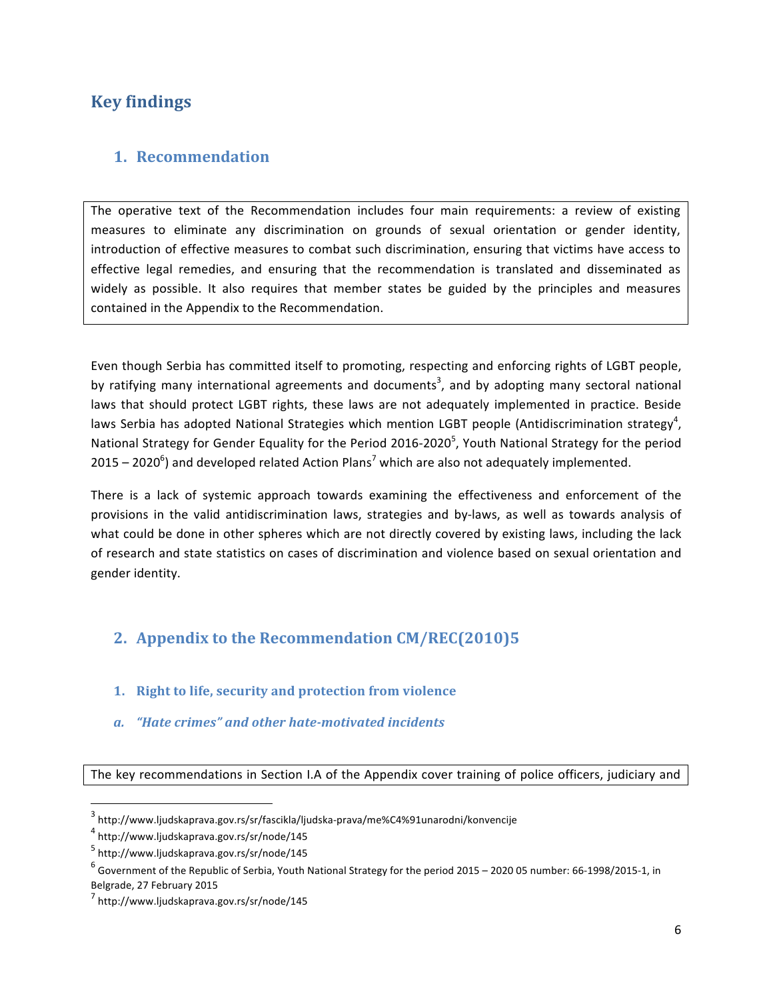# **Key findings**

## **1. Recommendation**

The operative text of the Recommendation includes four main requirements: a review of existing measures to eliminate any discrimination on grounds of sexual orientation or gender identity, introduction of effective measures to combat such discrimination, ensuring that victims have access to effective legal remedies, and ensuring that the recommendation is translated and disseminated as widely as possible. It also requires that member states be guided by the principles and measures contained in the Appendix to the Recommendation.

Even though Serbia has committed itself to promoting, respecting and enforcing rights of LGBT people, by ratifying many international agreements and documents<sup>3</sup>, and by adopting many sectoral national laws that should protect LGBT rights, these laws are not adequately implemented in practice. Beside laws Serbia has adopted National Strategies which mention LGBT people (Antidiscrimination strategy<sup>4</sup>, National Strategy for Gender Equality for the Period 2016-2020<sup>5</sup>, Youth National Strategy for the period 2015 – 2020<sup>6</sup>) and developed related Action Plans<sup>7</sup> which are also not adequately implemented.

There is a lack of systemic approach towards examining the effectiveness and enforcement of the provisions in the valid antidiscrimination laws, strategies and by-laws, as well as towards analysis of what could be done in other spheres which are not directly covered by existing laws, including the lack of research and state statistics on cases of discrimination and violence based on sexual orientation and gender identity.

# **2. Appendix to the Recommendation CM/REC(2010)5**

- **1.** Right to life, security and protection from violence
- *a. "Hate crimes" and other hate-motivated incidents*

The key recommendations in Section I.A of the Appendix cover training of police officers, judiciary and

<u> 1989 - Johann Stein, markin film yn y breninn y breninn y breninn y breninn y breninn y breninn y breninn y b</u>

<sup>3</sup> http://www.ljudskaprava.gov.rs/sr/fascikla/ljudska-prava/me%C4%91unarodni/konvencije

<sup>4</sup> http://www.ljudskaprava.gov.rs/sr/node/145

<sup>5</sup> http://www.ljudskaprava.gov.rs/sr/node/145

 $^6$  Government of the Republic of Serbia, Youth National Strategy for the period 2015 – 2020 05 number: 66-1998/2015-1, in Belgrade, 27 February 2015

<sup>7</sup> http://www.ljudskaprava.gov.rs/sr/node/145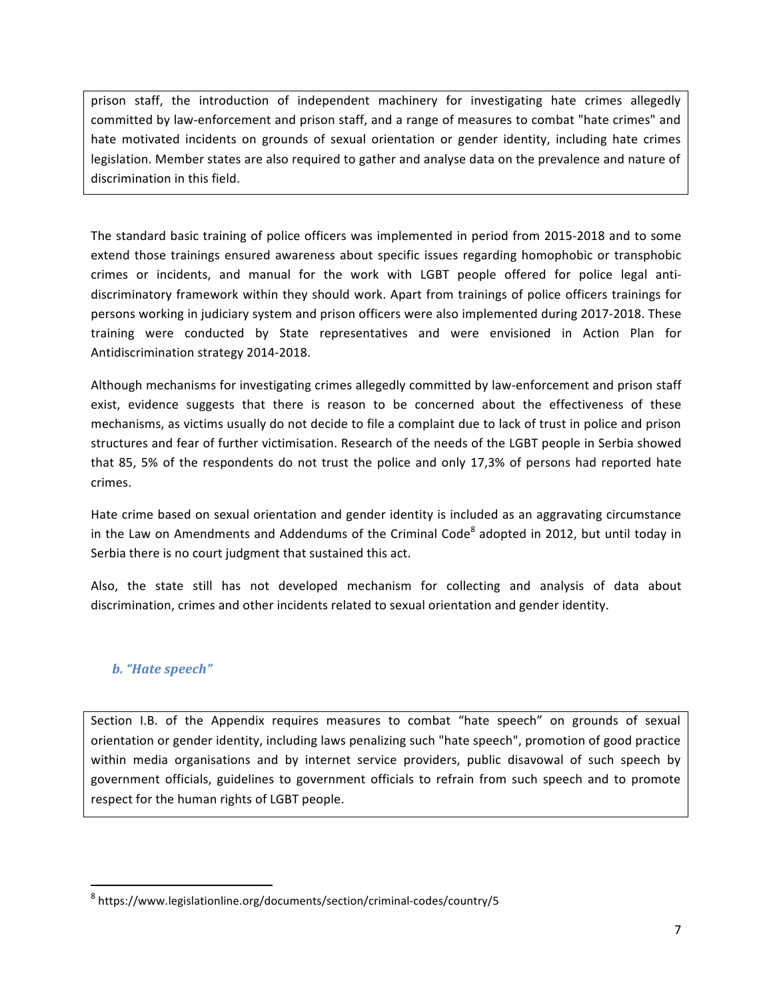prison staff, the introduction of independent machinery for investigating hate crimes allegedly committed by law-enforcement and prison staff, and a range of measures to combat "hate crimes" and hate motivated incidents on grounds of sexual orientation or gender identity, including hate crimes legislation. Member states are also required to gather and analyse data on the prevalence and nature of discrimination in this field.

The standard basic training of police officers was implemented in period from 2015-2018 and to some extend those trainings ensured awareness about specific issues regarding homophobic or transphobic crimes or incidents, and manual for the work with LGBT people offered for police legal antidiscriminatory framework within they should work. Apart from trainings of police officers trainings for persons working in judiciary system and prison officers were also implemented during 2017-2018. These training were conducted by State representatives and were envisioned in Action Plan for Antidiscrimination strategy 2014-2018.

Although mechanisms for investigating crimes allegedly committed by law-enforcement and prison staff exist, evidence suggests that there is reason to be concerned about the effectiveness of these mechanisms, as victims usually do not decide to file a complaint due to lack of trust in police and prison structures and fear of further victimisation. Research of the needs of the LGBT people in Serbia showed that 85, 5% of the respondents do not trust the police and only 17,3% of persons had reported hate crimes. 

Hate crime based on sexual orientation and gender identity is included as an aggravating circumstance in the Law on Amendments and Addendums of the Criminal Code<sup>8</sup> adopted in 2012, but until today in Serbia there is no court judgment that sustained this act.

Also, the state still has not developed mechanism for collecting and analysis of data about discrimination, crimes and other incidents related to sexual orientation and gender identity.

### *b.* "Hate speech"

<u> 1989 - Johann Stein, markin film yn y breninn y breninn y breninn y breninn y breninn y breninn y breninn y b</u>

Section I.B. of the Appendix requires measures to combat "hate speech" on grounds of sexual orientation or gender identity, including laws penalizing such "hate speech", promotion of good practice within media organisations and by internet service providers, public disavowal of such speech by government officials, guidelines to government officials to refrain from such speech and to promote respect for the human rights of LGBT people.

<sup>8</sup> https://www.legislationline.org/documents/section/criminal-codes/country/5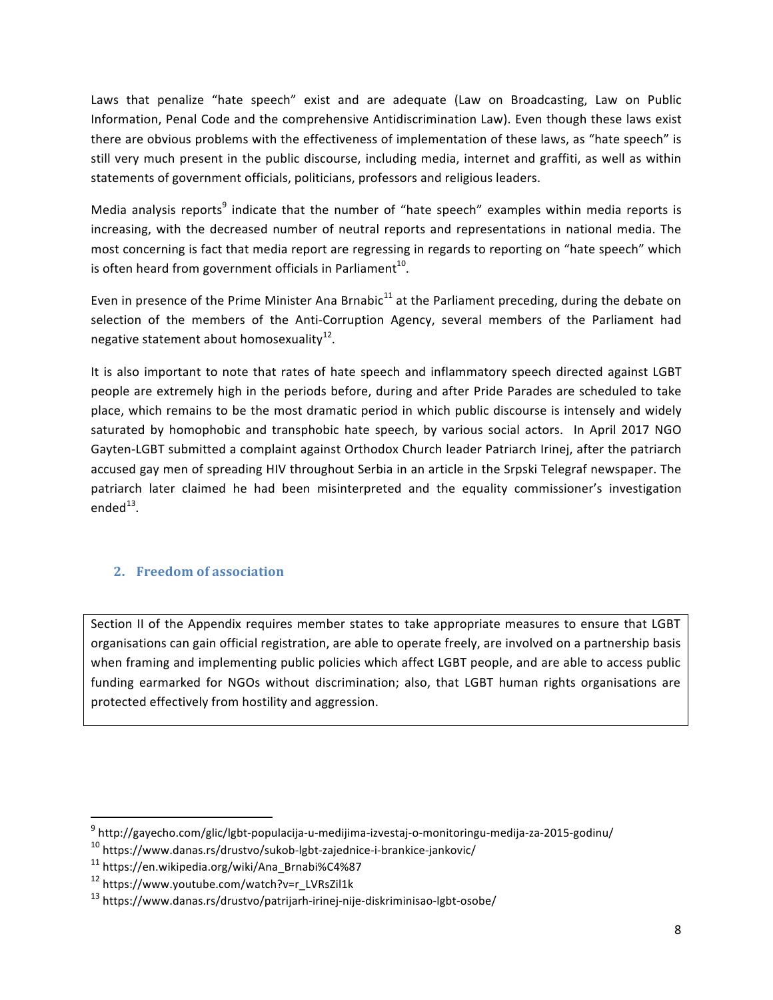Laws that penalize "hate speech" exist and are adequate (Law on Broadcasting, Law on Public Information, Penal Code and the comprehensive Antidiscrimination Law). Even though these laws exist there are obvious problems with the effectiveness of implementation of these laws, as "hate speech" is still very much present in the public discourse, including media, internet and graffiti, as well as within statements of government officials, politicians, professors and religious leaders.

Media analysis reports<sup>9</sup> indicate that the number of "hate speech" examples within media reports is increasing, with the decreased number of neutral reports and representations in national media. The most concerning is fact that media report are regressing in regards to reporting on "hate speech" which is often heard from government officials in Parliament<sup>10</sup>.

Even in presence of the Prime Minister Ana Brnabic<sup>11</sup> at the Parliament preceding, during the debate on selection of the members of the Anti-Corruption Agency, several members of the Parliament had negative statement about homosexuality<sup>12</sup>.

It is also important to note that rates of hate speech and inflammatory speech directed against LGBT people are extremely high in the periods before, during and after Pride Parades are scheduled to take place, which remains to be the most dramatic period in which public discourse is intensely and widely saturated by homophobic and transphobic hate speech, by various social actors. In April 2017 NGO Gayten-LGBT submitted a complaint against Orthodox Church leader Patriarch Irinej, after the patriarch accused gay men of spreading HIV throughout Serbia in an article in the Srpski Telegraf newspaper. The patriarch later claimed he had been misinterpreted and the equality commissioner's investigation ended $^{13}$ .

## **2. Freedom of association**

Section II of the Appendix requires member states to take appropriate measures to ensure that LGBT organisations can gain official registration, are able to operate freely, are involved on a partnership basis when framing and implementing public policies which affect LGBT people, and are able to access public funding earmarked for NGOs without discrimination; also, that LGBT human rights organisations are protected effectively from hostility and aggression.

 

<sup>9</sup> http://gayecho.com/glic/lgbt-populacija-u-medijima-izvestaj-o-monitoringu-medija-za-2015-godinu/

 $10$  https://www.danas.rs/drustvo/sukob-lgbt-zajednice-i-brankice-jankovic/

<sup>11</sup> https://en.wikipedia.org/wiki/Ana\_Brnabi%C4%87

<sup>12</sup> https://www.youtube.com/watch?v=r\_LVRsZil1k

<sup>13</sup> https://www.danas.rs/drustvo/patrijarh-irinej-nije-diskriminisao-lgbt-osobe/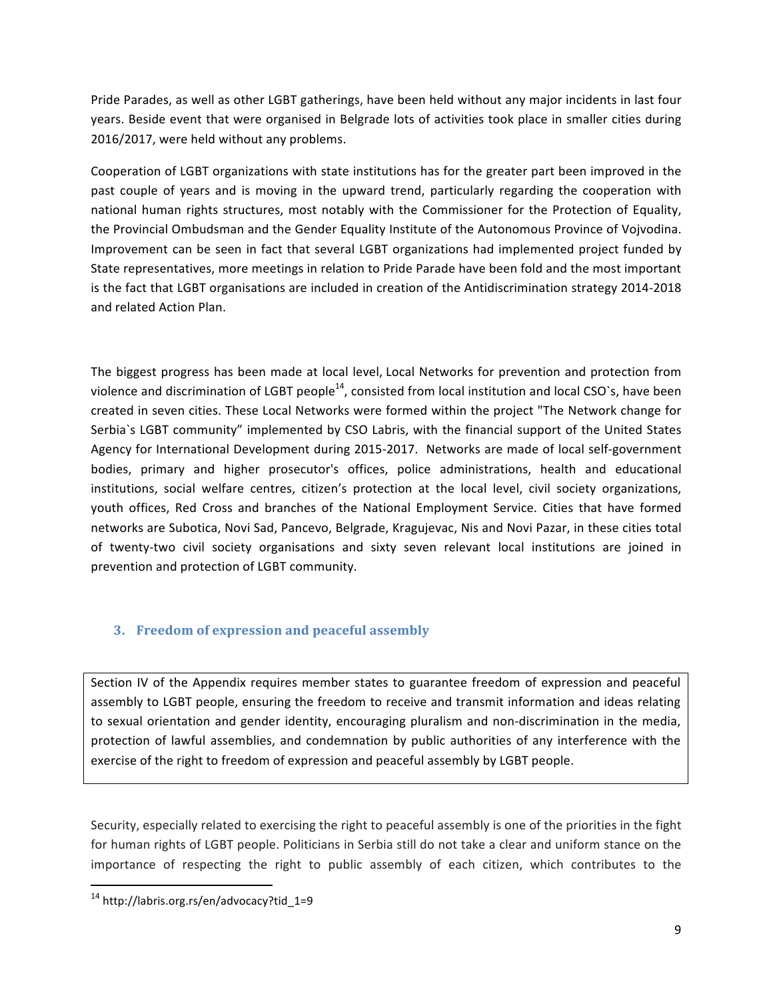Pride Parades, as well as other LGBT gatherings, have been held without any major incidents in last four years. Beside event that were organised in Belgrade lots of activities took place in smaller cities during 2016/2017, were held without any problems.

Cooperation of LGBT organizations with state institutions has for the greater part been improved in the past couple of years and is moving in the upward trend, particularly regarding the cooperation with national human rights structures, most notably with the Commissioner for the Protection of Equality, the Provincial Ombudsman and the Gender Equality Institute of the Autonomous Province of Vojvodina. Improvement can be seen in fact that several LGBT organizations had implemented project funded by State representatives, more meetings in relation to Pride Parade have been fold and the most important is the fact that LGBT organisations are included in creation of the Antidiscrimination strategy 2014-2018 and related Action Plan.

The biggest progress has been made at local level, Local Networks for prevention and protection from violence and discrimination of LGBT people<sup>14</sup>, consisted from local institution and local CSO's, have been created in seven cities. These Local Networks were formed within the project "The Network change for Serbia`s LGBT community" implemented by CSO Labris, with the financial support of the United States Agency for International Development during 2015-2017. Networks are made of local self-government bodies, primary and higher prosecutor's offices, police administrations, health and educational institutions, social welfare centres, citizen's protection at the local level, civil society organizations, youth offices, Red Cross and branches of the National Employment Service. Cities that have formed networks are Subotica, Novi Sad, Pancevo, Belgrade, Kragujevac, Nis and Novi Pazar, in these cities total of twenty-two civil society organisations and sixty seven relevant local institutions are joined in prevention and protection of LGBT community.

## **3.** Freedom of expression and peaceful assembly

Section IV of the Appendix requires member states to guarantee freedom of expression and peaceful assembly to LGBT people, ensuring the freedom to receive and transmit information and ideas relating to sexual orientation and gender identity, encouraging pluralism and non-discrimination in the media, protection of lawful assemblies, and condemnation by public authorities of any interference with the exercise of the right to freedom of expression and peaceful assembly by LGBT people.

Security, especially related to exercising the right to peaceful assembly is one of the priorities in the fight for human rights of LGBT people. Politicians in Serbia still do not take a clear and uniform stance on the importance of respecting the right to public assembly of each citizen, which contributes to the

<u> 1989 - Johann Stein, markin film yn y breninn y breninn y breninn y breninn y breninn y breninn y breninn y b</u>

<sup>14</sup> http://labris.org.rs/en/advocacy?tid\_1=9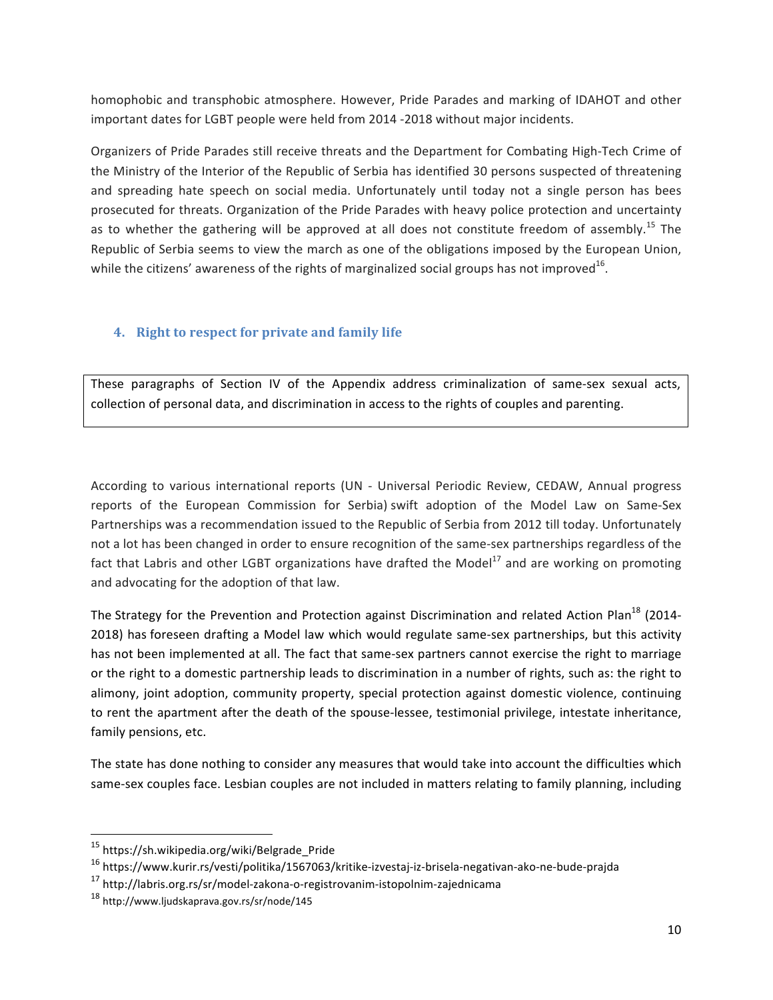homophobic and transphobic atmosphere. However, Pride Parades and marking of IDAHOT and other important dates for LGBT people were held from 2014 -2018 without major incidents.

Organizers of Pride Parades still receive threats and the Department for Combating High-Tech Crime of the Ministry of the Interior of the Republic of Serbia has identified 30 persons suspected of threatening and spreading hate speech on social media. Unfortunately until today not a single person has bees prosecuted for threats. Organization of the Pride Parades with heavy police protection and uncertainty as to whether the gathering will be approved at all does not constitute freedom of assembly.<sup>15</sup> The Republic of Serbia seems to view the march as one of the obligations imposed by the European Union, while the citizens' awareness of the rights of marginalized social groups has not improved<sup>16</sup>.

### **4.** Right to respect for private and family life

These paragraphs of Section IV of the Appendix address criminalization of same-sex sexual acts, collection of personal data, and discrimination in access to the rights of couples and parenting.

According to various international reports (UN - Universal Periodic Review, CEDAW, Annual progress reports of the European Commission for Serbia) swift adoption of the Model Law on Same-Sex Partnerships was a recommendation issued to the Republic of Serbia from 2012 till today. Unfortunately not a lot has been changed in order to ensure recognition of the same-sex partnerships regardless of the fact that Labris and other LGBT organizations have drafted the Model<sup>17</sup> and are working on promoting and advocating for the adoption of that law.

The Strategy for the Prevention and Protection against Discrimination and related Action Plan<sup>18</sup> (2014-2018) has foreseen drafting a Model law which would regulate same-sex partnerships, but this activity has not been implemented at all. The fact that same-sex partners cannot exercise the right to marriage or the right to a domestic partnership leads to discrimination in a number of rights, such as: the right to alimony, joint adoption, community property, special protection against domestic violence, continuing to rent the apartment after the death of the spouse-lessee, testimonial privilege, intestate inheritance, family pensions, etc.

The state has done nothing to consider any measures that would take into account the difficulties which same-sex couples face. Lesbian couples are not included in matters relating to family planning, including

<u> 1989 - Johann Stein, markin film yn y breninn y breninn y breninn y breninn y breninn y breninn y breninn y b</u>

<sup>15</sup> https://sh.wikipedia.org/wiki/Belgrade\_Pride

<sup>16</sup> https://www.kurir.rs/vesti/politika/1567063/kritike-izvestaj-iz-brisela-negativan-ako-ne-bude-prajda

<sup>17</sup> http://labris.org.rs/sr/model-zakona-o-registrovanim-istopolnim-zajednicama

<sup>18</sup> http://www.ljudskaprava.gov.rs/sr/node/145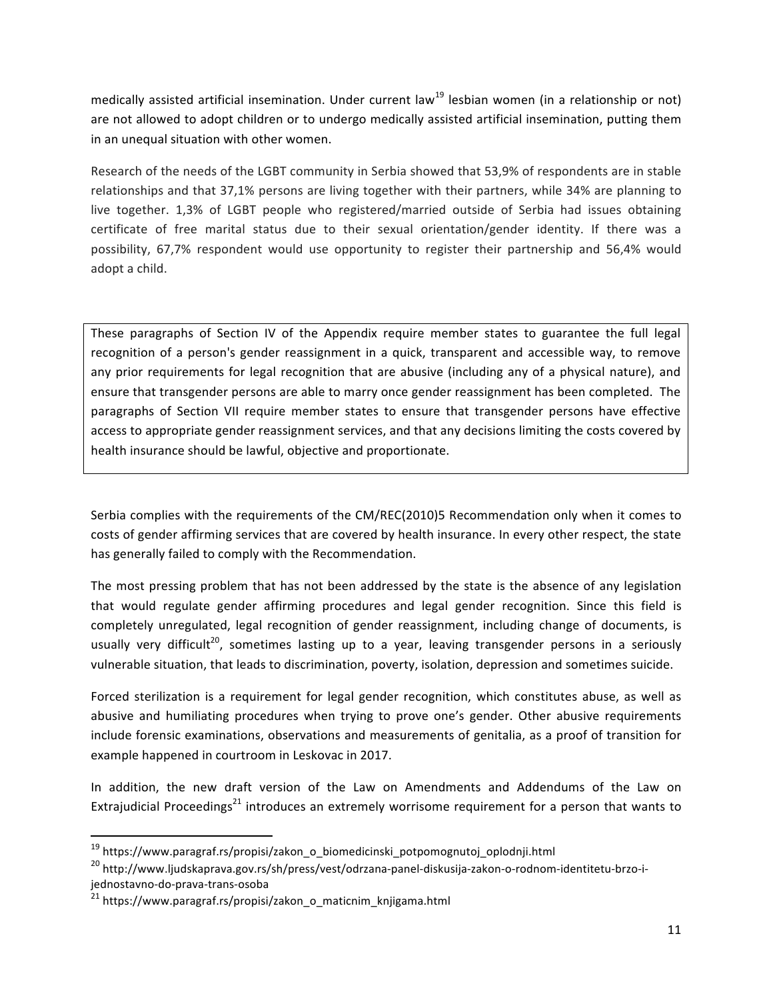medically assisted artificial insemination. Under current law<sup>19</sup> lesbian women (in a relationship or not) are not allowed to adopt children or to undergo medically assisted artificial insemination, putting them in an unequal situation with other women.

Research of the needs of the LGBT community in Serbia showed that 53,9% of respondents are in stable relationships and that 37,1% persons are living together with their partners, while 34% are planning to live together. 1,3% of LGBT people who registered/married outside of Serbia had issues obtaining certificate of free marital status due to their sexual orientation/gender identity. If there was a possibility, 67,7% respondent would use opportunity to register their partnership and 56,4% would adopt a child.

These paragraphs of Section IV of the Appendix require member states to guarantee the full legal recognition of a person's gender reassignment in a quick, transparent and accessible way, to remove any prior requirements for legal recognition that are abusive (including any of a physical nature), and ensure that transgender persons are able to marry once gender reassignment has been completed. The paragraphs of Section VII require member states to ensure that transgender persons have effective access to appropriate gender reassignment services, and that any decisions limiting the costs covered by health insurance should be lawful, objective and proportionate.

Serbia complies with the requirements of the CM/REC(2010)5 Recommendation only when it comes to costs of gender affirming services that are covered by health insurance. In every other respect, the state has generally failed to comply with the Recommendation.

The most pressing problem that has not been addressed by the state is the absence of any legislation that would regulate gender affirming procedures and legal gender recognition. Since this field is completely unregulated, legal recognition of gender reassignment, including change of documents, is usually very difficult<sup>20</sup>, sometimes lasting up to a year, leaving transgender persons in a seriously vulnerable situation, that leads to discrimination, poverty, isolation, depression and sometimes suicide.

Forced sterilization is a requirement for legal gender recognition, which constitutes abuse, as well as abusive and humiliating procedures when trying to prove one's gender. Other abusive requirements include forensic examinations, observations and measurements of genitalia, as a proof of transition for example happened in courtroom in Leskovac in 2017.

In addition, the new draft version of the Law on Amendments and Addendums of the Law on Extrajudicial Proceedings<sup>21</sup> introduces an extremely worrisome requirement for a person that wants to

 

<sup>19</sup> https://www.paragraf.rs/propisi/zakon\_o\_biomedicinski\_potpomognutoj\_oplodnji.html

<sup>20</sup> http://www.ljudskaprava.gov.rs/sh/press/vest/odrzana-panel-diskusija-zakon-o-rodnom-identitetu-brzo-ijednostavno-do-prava-trans-osoba

 $21$  https://www.paragraf.rs/propisi/zakon\_o\_maticnim\_knjigama.html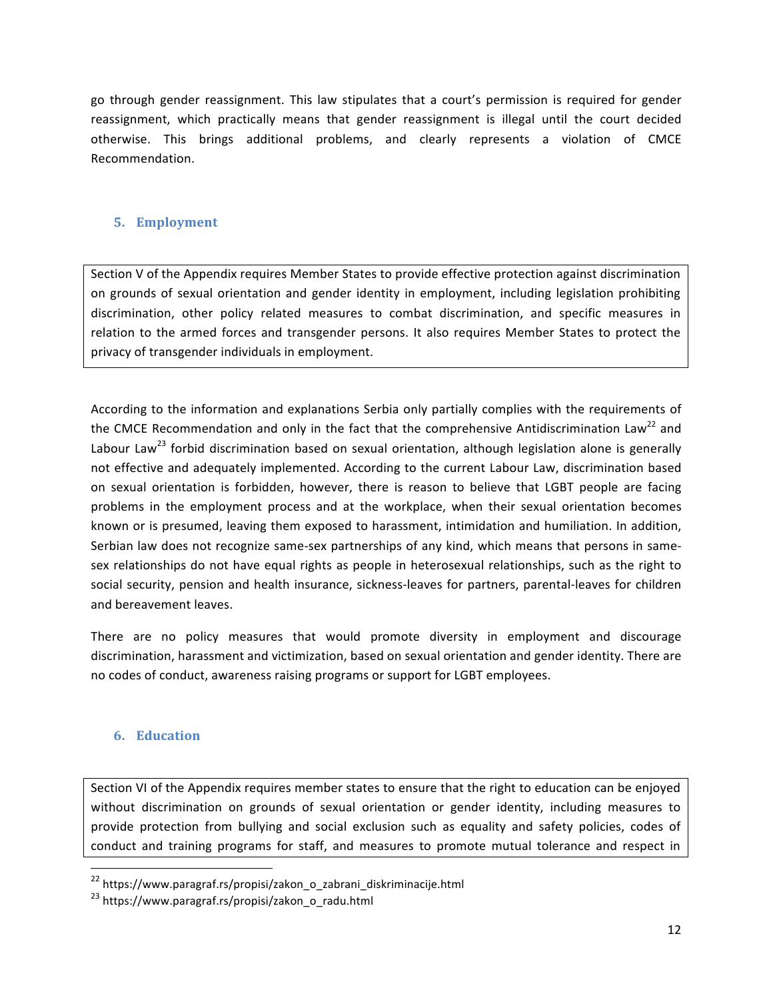go through gender reassignment. This law stipulates that a court's permission is required for gender reassignment, which practically means that gender reassignment is illegal until the court decided otherwise. This brings additional problems, and clearly represents a violation of CMCE Recommendation. 

### **5. Employment**

Section V of the Appendix requires Member States to provide effective protection against discrimination on grounds of sexual orientation and gender identity in employment, including legislation prohibiting discrimination, other policy related measures to combat discrimination, and specific measures in relation to the armed forces and transgender persons. It also requires Member States to protect the privacy of transgender individuals in employment.

According to the information and explanations Serbia only partially complies with the requirements of the CMCE Recommendation and only in the fact that the comprehensive Antidiscrimination Law<sup>22</sup> and Labour Law<sup>23</sup> forbid discrimination based on sexual orientation, although legislation alone is generally not effective and adequately implemented. According to the current Labour Law, discrimination based on sexual orientation is forbidden, however, there is reason to believe that LGBT people are facing problems in the employment process and at the workplace, when their sexual orientation becomes known or is presumed, leaving them exposed to harassment, intimidation and humiliation. In addition, Serbian law does not recognize same-sex partnerships of any kind, which means that persons in samesex relationships do not have equal rights as people in heterosexual relationships, such as the right to social security, pension and health insurance, sickness-leaves for partners, parental-leaves for children and bereavement leaves.

There are no policy measures that would promote diversity in employment and discourage discrimination, harassment and victimization, based on sexual orientation and gender identity. There are no codes of conduct, awareness raising programs or support for LGBT employees.

### **6. Education**

<u> 1989 - Johann Stein, fransk politik (d. 1989)</u>

Section VI of the Appendix requires member states to ensure that the right to education can be enjoyed without discrimination on grounds of sexual orientation or gender identity, including measures to provide protection from bullying and social exclusion such as equality and safety policies, codes of conduct and training programs for staff, and measures to promote mutual tolerance and respect in

<sup>22</sup> https://www.paragraf.rs/propisi/zakon\_o\_zabrani\_diskriminacije.html

<sup>23</sup> https://www.paragraf.rs/propisi/zakon\_o\_radu.html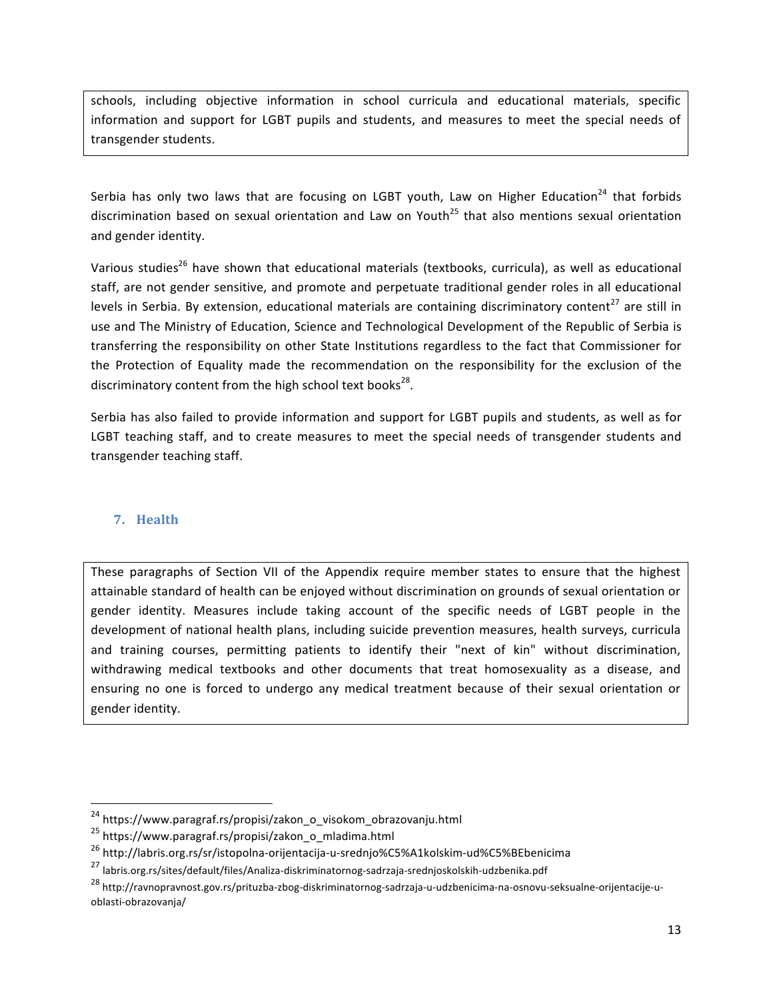schools, including objective information in school curricula and educational materials, specific information and support for LGBT pupils and students, and measures to meet the special needs of transgender students.

Serbia has only two laws that are focusing on LGBT youth, Law on Higher Education<sup>24</sup> that forbids discrimination based on sexual orientation and Law on Youth<sup>25</sup> that also mentions sexual orientation and gender identity.

Various studies<sup>26</sup> have shown that educational materials (textbooks, curricula), as well as educational staff, are not gender sensitive, and promote and perpetuate traditional gender roles in all educational levels in Serbia. By extension, educational materials are containing discriminatory content<sup>27</sup> are still in use and The Ministry of Education, Science and Technological Development of the Republic of Serbia is transferring the responsibility on other State Institutions regardless to the fact that Commissioner for the Protection of Equality made the recommendation on the responsibility for the exclusion of the discriminatory content from the high school text books<sup>28</sup>.

Serbia has also failed to provide information and support for LGBT pupils and students, as well as for LGBT teaching staff, and to create measures to meet the special needs of transgender students and transgender teaching staff.

### **7. Health**

These paragraphs of Section VII of the Appendix require member states to ensure that the highest attainable standard of health can be enjoyed without discrimination on grounds of sexual orientation or gender identity. Measures include taking account of the specific needs of LGBT people in the development of national health plans, including suicide prevention measures, health surveys, curricula and training courses, permitting patients to identify their "next of kin" without discrimination, withdrawing medical textbooks and other documents that treat homosexuality as a disease, and ensuring no one is forced to undergo any medical treatment because of their sexual orientation or gender identity.

<u> 1989 - Johann Stein, fransk politik (d. 1989)</u>

<sup>&</sup>lt;sup>24</sup> https://www.paragraf.rs/propisi/zakon\_o\_visokom\_obrazovanju.html

<sup>&</sup>lt;sup>25</sup> https://www.paragraf.rs/propisi/zakon\_o\_mladima.html

<sup>26</sup> http://labris.org.rs/sr/istopolna-orijentacija-u-srednjo%C5%A1kolskim-ud%C5%BEbenicima

<sup>27</sup> labris.org.rs/sites/default/files/Analiza-diskriminatornog-sadrzaja-srednjoskolskih-udzbenika.pdf

<sup>28</sup> http://ravnopravnost.gov.rs/prituzba-zbog-diskriminatornog-sadrzaja-u-udzbenicima-na-osnovu-seksualne-orijentacije-uoblasti-obrazovanja/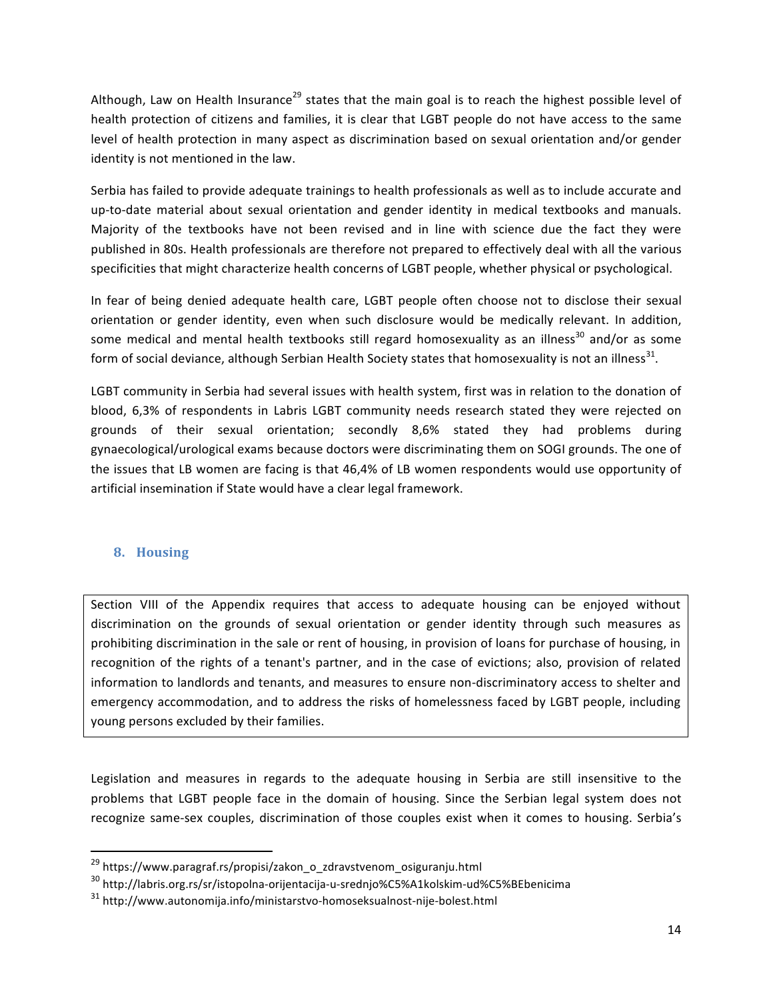Although, Law on Health Insurance<sup>29</sup> states that the main goal is to reach the highest possible level of health protection of citizens and families, it is clear that LGBT people do not have access to the same level of health protection in many aspect as discrimination based on sexual orientation and/or gender identity is not mentioned in the law.

Serbia has failed to provide adequate trainings to health professionals as well as to include accurate and up-to-date material about sexual orientation and gender identity in medical textbooks and manuals. Majority of the textbooks have not been revised and in line with science due the fact they were published in 80s. Health professionals are therefore not prepared to effectively deal with all the various specificities that might characterize health concerns of LGBT people, whether physical or psychological.

In fear of being denied adequate health care, LGBT people often choose not to disclose their sexual orientation or gender identity, even when such disclosure would be medically relevant. In addition, some medical and mental health textbooks still regard homosexuality as an illness<sup>30</sup> and/or as some form of social deviance, although Serbian Health Society states that homosexuality is not an illness<sup>31</sup>.

LGBT community in Serbia had several issues with health system, first was in relation to the donation of blood, 6,3% of respondents in Labris LGBT community needs research stated they were rejected on grounds of their sexual orientation; secondly 8,6% stated they had problems during gynaecological/urological exams because doctors were discriminating them on SOGI grounds. The one of the issues that LB women are facing is that 46,4% of LB women respondents would use opportunity of artificial insemination if State would have a clear legal framework.

#### **8. Housing**

<u> 1989 - Johann Stein, fransk politik (d. 1989)</u>

Section VIII of the Appendix requires that access to adequate housing can be enjoyed without discrimination on the grounds of sexual orientation or gender identity through such measures as prohibiting discrimination in the sale or rent of housing, in provision of loans for purchase of housing, in recognition of the rights of a tenant's partner, and in the case of evictions; also, provision of related information to landlords and tenants, and measures to ensure non-discriminatory access to shelter and emergency accommodation, and to address the risks of homelessness faced by LGBT people, including young persons excluded by their families.

Legislation and measures in regards to the adequate housing in Serbia are still insensitive to the problems that LGBT people face in the domain of housing. Since the Serbian legal system does not recognize same-sex couples, discrimination of those couples exist when it comes to housing. Serbia's

<sup>&</sup>lt;sup>29</sup> https://www.paragraf.rs/propisi/zakon\_o\_zdravstvenom\_osiguranju.html

<sup>30</sup> http://labris.org.rs/sr/istopolna-orijentacija-u-srednjo%C5%A1kolskim-ud%C5%BEbenicima

<sup>31</sup> http://www.autonomija.info/ministarstvo-homoseksualnost-nije-bolest.html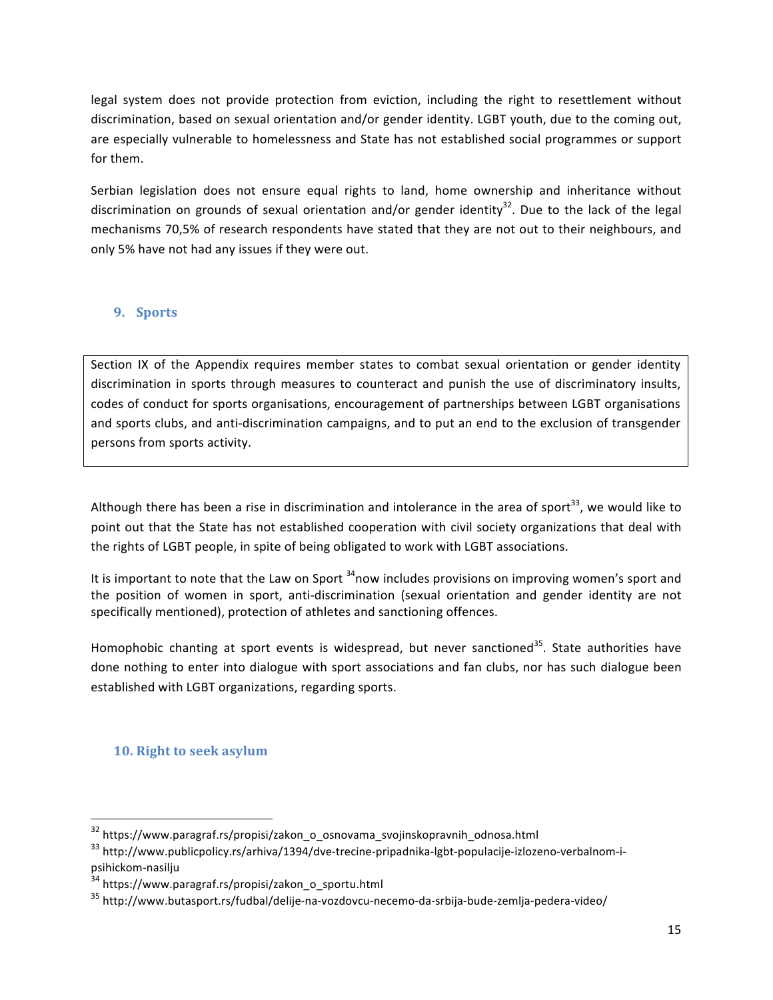legal system does not provide protection from eviction, including the right to resettlement without discrimination, based on sexual orientation and/or gender identity. LGBT youth, due to the coming out, are especially vulnerable to homelessness and State has not established social programmes or support for them.

Serbian legislation does not ensure equal rights to land, home ownership and inheritance without discrimination on grounds of sexual orientation and/or gender identity<sup>32</sup>. Due to the lack of the legal mechanisms 70,5% of research respondents have stated that they are not out to their neighbours, and only 5% have not had any issues if they were out.

### **9. Sports**

Section IX of the Appendix requires member states to combat sexual orientation or gender identity discrimination in sports through measures to counteract and punish the use of discriminatory insults, codes of conduct for sports organisations, encouragement of partnerships between LGBT organisations and sports clubs, and anti-discrimination campaigns, and to put an end to the exclusion of transgender persons from sports activity.

Although there has been a rise in discrimination and intolerance in the area of sport<sup>33</sup>, we would like to point out that the State has not established cooperation with civil society organizations that deal with the rights of LGBT people, in spite of being obligated to work with LGBT associations.

It is important to note that the Law on Sport  $34$  now includes provisions on improving women's sport and the position of women in sport, anti-discrimination (sexual orientation and gender identity are not specifically mentioned), protection of athletes and sanctioning offences.

Homophobic chanting at sport events is widespread, but never sanctioned<sup>35</sup>. State authorities have done nothing to enter into dialogue with sport associations and fan clubs, nor has such dialogue been established with LGBT organizations, regarding sports.

### **10.** Right to seek asylum

<u> 1989 - Johann Stein, fransk politik (d. 1989)</u>

 $32$  https://www.paragraf.rs/propisi/zakon\_o\_osnovama\_svojinskopravnih\_odnosa.html

<sup>33</sup> http://www.publicpolicy.rs/arhiva/1394/dve-trecine-pripadnika-lgbt-populacije-izlozeno-verbalnom-ipsihickom-nasilju

<sup>34</sup> https://www.paragraf.rs/propisi/zakon\_o\_sportu.html

<sup>35</sup> http://www.butasport.rs/fudbal/delije-na-vozdovcu-necemo-da-srbija-bude-zemlja-pedera-video/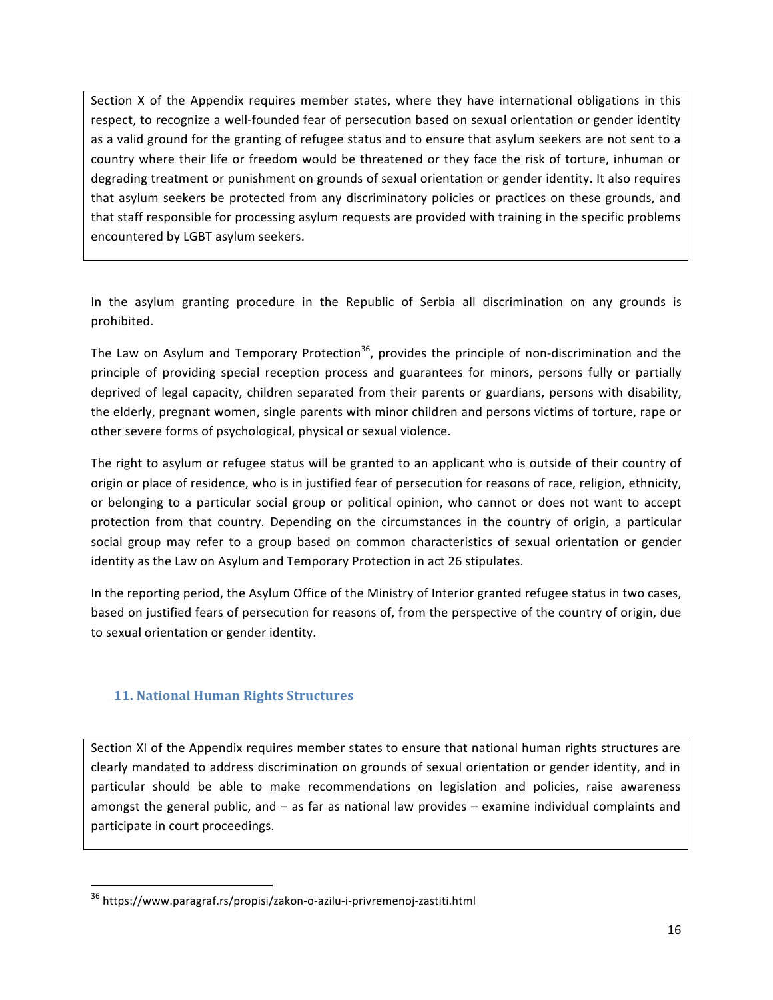Section X of the Appendix requires member states, where they have international obligations in this respect, to recognize a well-founded fear of persecution based on sexual orientation or gender identity as a valid ground for the granting of refugee status and to ensure that asylum seekers are not sent to a country where their life or freedom would be threatened or they face the risk of torture, inhuman or degrading treatment or punishment on grounds of sexual orientation or gender identity. It also requires that asylum seekers be protected from any discriminatory policies or practices on these grounds, and that staff responsible for processing asylum requests are provided with training in the specific problems encountered by LGBT asylum seekers.

In the asylum granting procedure in the Republic of Serbia all discrimination on any grounds is prohibited.

The Law on Asylum and Temporary Protection<sup>36</sup>, provides the principle of non-discrimination and the principle of providing special reception process and guarantees for minors, persons fully or partially deprived of legal capacity, children separated from their parents or guardians, persons with disability, the elderly, pregnant women, single parents with minor children and persons victims of torture, rape or other severe forms of psychological, physical or sexual violence.

The right to asylum or refugee status will be granted to an applicant who is outside of their country of origin or place of residence, who is in justified fear of persecution for reasons of race, religion, ethnicity, or belonging to a particular social group or political opinion, who cannot or does not want to accept protection from that country. Depending on the circumstances in the country of origin, a particular social group may refer to a group based on common characteristics of sexual orientation or gender identity as the Law on Asylum and Temporary Protection in act 26 stipulates.

In the reporting period, the Asylum Office of the Ministry of Interior granted refugee status in two cases, based on justified fears of persecution for reasons of, from the perspective of the country of origin, due to sexual orientation or gender identity.

### **11. National Human Rights Structures**

<u> 1989 - Johann Stein, fransk politik (d. 1989)</u>

Section XI of the Appendix requires member states to ensure that national human rights structures are clearly mandated to address discrimination on grounds of sexual orientation or gender identity, and in particular should be able to make recommendations on legislation and policies, raise awareness amongst the general public, and  $-$  as far as national law provides  $-$  examine individual complaints and participate in court proceedings.

<sup>36</sup> https://www.paragraf.rs/propisi/zakon-o-azilu-i-privremenoj-zastiti.html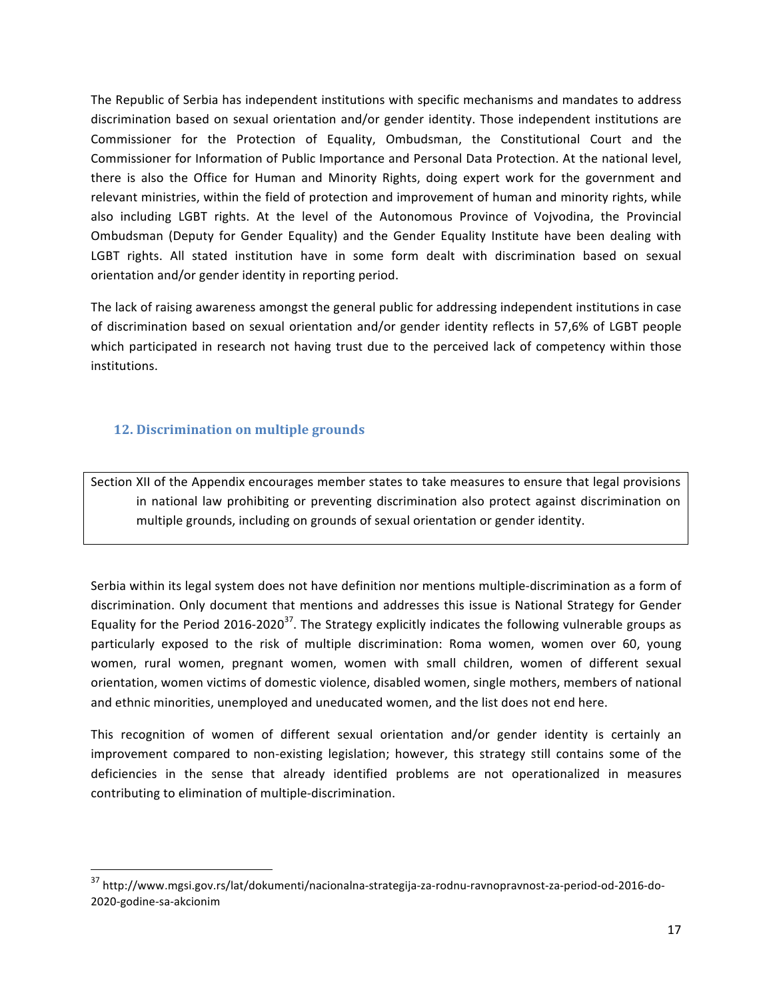The Republic of Serbia has independent institutions with specific mechanisms and mandates to address discrimination based on sexual orientation and/or gender identity. Those independent institutions are Commissioner for the Protection of Equality, Ombudsman, the Constitutional Court and the Commissioner for Information of Public Importance and Personal Data Protection. At the national level, there is also the Office for Human and Minority Rights, doing expert work for the government and relevant ministries, within the field of protection and improvement of human and minority rights, while also including LGBT rights. At the level of the Autonomous Province of Vojvodina, the Provincial Ombudsman (Deputy for Gender Equality) and the Gender Equality Institute have been dealing with LGBT rights. All stated institution have in some form dealt with discrimination based on sexual orientation and/or gender identity in reporting period.

The lack of raising awareness amongst the general public for addressing independent institutions in case of discrimination based on sexual orientation and/or gender identity reflects in 57,6% of LGBT people which participated in research not having trust due to the perceived lack of competency within those institutions. 

### **12. Discrimination on multiple grounds**

<u> 1989 - Johann Stein, fransk politik (d. 1989)</u>

Section XII of the Appendix encourages member states to take measures to ensure that legal provisions in national law prohibiting or preventing discrimination also protect against discrimination on multiple grounds, including on grounds of sexual orientation or gender identity.

Serbia within its legal system does not have definition nor mentions multiple-discrimination as a form of discrimination. Only document that mentions and addresses this issue is National Strategy for Gender Equality for the Period 2016-2020<sup>37</sup>. The Strategy explicitly indicates the following vulnerable groups as particularly exposed to the risk of multiple discrimination: Roma women, women over 60, young women, rural women, pregnant women, women with small children, women of different sexual orientation, women victims of domestic violence, disabled women, single mothers, members of national and ethnic minorities, unemployed and uneducated women, and the list does not end here.

This recognition of women of different sexual orientation and/or gender identity is certainly an improvement compared to non-existing legislation; however, this strategy still contains some of the deficiencies in the sense that already identified problems are not operationalized in measures contributing to elimination of multiple-discrimination.

<sup>37</sup> http://www.mgsi.gov.rs/lat/dokumenti/nacionalna-strategija-za-rodnu-ravnopravnost-za-period-od-2016-do-2020-godine-sa-akcionim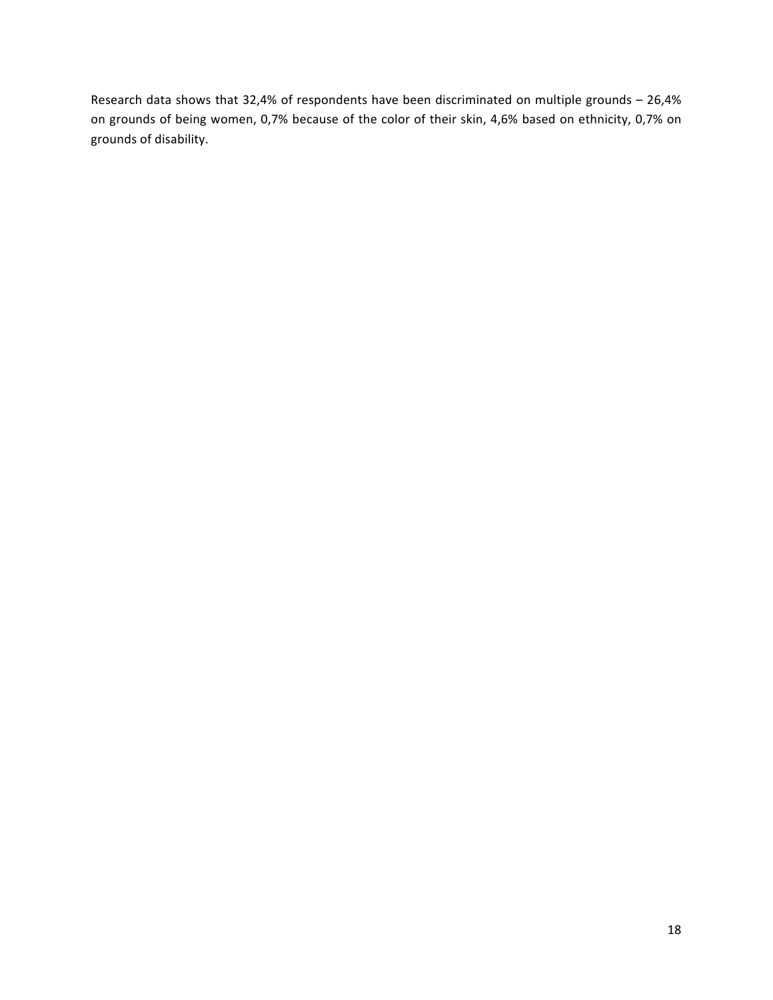Research data shows that  $32,4\%$  of respondents have been discriminated on multiple grounds  $- 26,4\%$ on grounds of being women, 0,7% because of the color of their skin, 4,6% based on ethnicity, 0,7% on grounds of disability.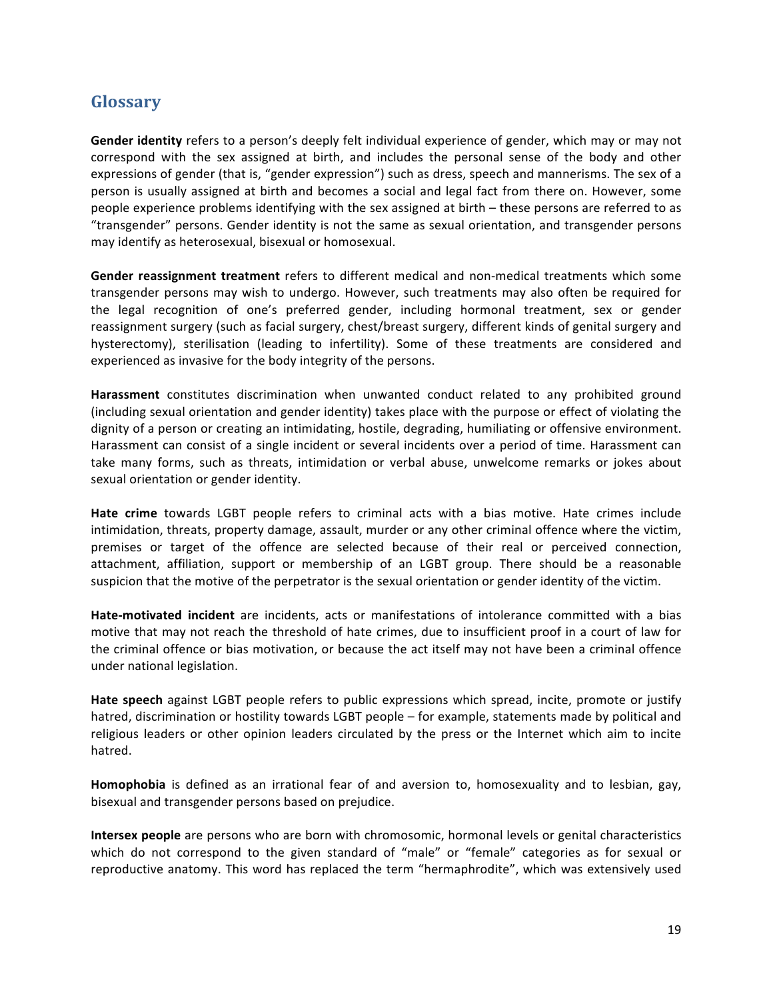# **Glossary**

**Gender identity** refers to a person's deeply felt individual experience of gender, which may or may not correspond with the sex assigned at birth, and includes the personal sense of the body and other expressions of gender (that is, "gender expression") such as dress, speech and mannerisms. The sex of a person is usually assigned at birth and becomes a social and legal fact from there on. However, some people experience problems identifying with the sex assigned at birth – these persons are referred to as "transgender" persons. Gender identity is not the same as sexual orientation, and transgender persons may identify as heterosexual, bisexual or homosexual.

**Gender reassignment treatment** refers to different medical and non-medical treatments which some transgender persons may wish to undergo. However, such treatments may also often be required for the legal recognition of one's preferred gender, including hormonal treatment, sex or gender reassignment surgery (such as facial surgery, chest/breast surgery, different kinds of genital surgery and hysterectomy), sterilisation (leading to infertility). Some of these treatments are considered and experienced as invasive for the body integrity of the persons.

Harassment constitutes discrimination when unwanted conduct related to any prohibited ground (including sexual orientation and gender identity) takes place with the purpose or effect of violating the dignity of a person or creating an intimidating, hostile, degrading, humiliating or offensive environment. Harassment can consist of a single incident or several incidents over a period of time. Harassment can take many forms, such as threats, intimidation or verbal abuse, unwelcome remarks or jokes about sexual orientation or gender identity.

**Hate crime** towards LGBT people refers to criminal acts with a bias motive. Hate crimes include intimidation, threats, property damage, assault, murder or any other criminal offence where the victim, premises or target of the offence are selected because of their real or perceived connection, attachment, affiliation, support or membership of an LGBT group. There should be a reasonable suspicion that the motive of the perpetrator is the sexual orientation or gender identity of the victim.

**Hate-motivated incident** are incidents, acts or manifestations of intolerance committed with a bias motive that may not reach the threshold of hate crimes, due to insufficient proof in a court of law for the criminal offence or bias motivation, or because the act itself may not have been a criminal offence under national legislation.

Hate speech against LGBT people refers to public expressions which spread, incite, promote or justify hatred, discrimination or hostility towards LGBT people – for example, statements made by political and religious leaders or other opinion leaders circulated by the press or the Internet which aim to incite hatred. 

**Homophobia** is defined as an irrational fear of and aversion to, homosexuality and to lesbian, gay, bisexual and transgender persons based on prejudice.

**Intersex people** are persons who are born with chromosomic, hormonal levels or genital characteristics which do not correspond to the given standard of "male" or "female" categories as for sexual or reproductive anatomy. This word has replaced the term "hermaphrodite", which was extensively used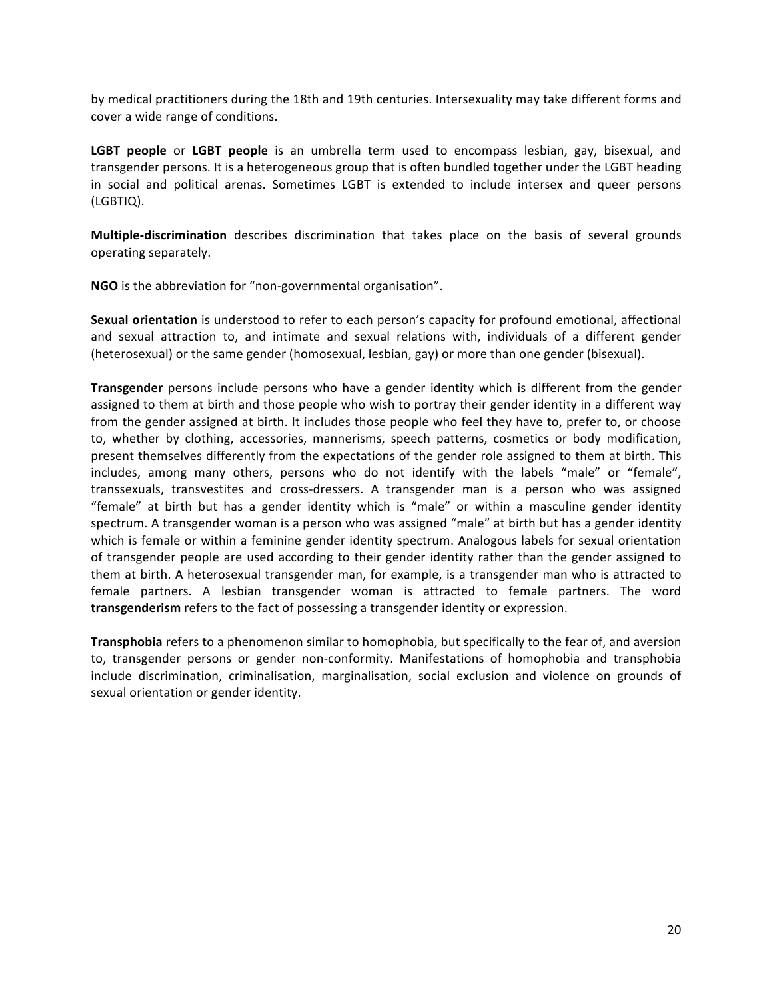by medical practitioners during the 18th and 19th centuries. Intersexuality may take different forms and cover a wide range of conditions.

**LGBT** people or LGBT people is an umbrella term used to encompass lesbian, gay, bisexual, and transgender persons. It is a heterogeneous group that is often bundled together under the LGBT heading in social and political arenas. Sometimes LGBT is extended to include intersex and queer persons (LGBTIQ). 

**Multiple-discrimination** describes discrimination that takes place on the basis of several grounds operating separately.

**NGO** is the abbreviation for "non-governmental organisation".

**Sexual orientation** is understood to refer to each person's capacity for profound emotional, affectional and sexual attraction to, and intimate and sexual relations with, individuals of a different gender (heterosexual) or the same gender (homosexual, lesbian, gay) or more than one gender (bisexual).

**Transgender** persons include persons who have a gender identity which is different from the gender assigned to them at birth and those people who wish to portray their gender identity in a different way from the gender assigned at birth. It includes those people who feel they have to, prefer to, or choose to, whether by clothing, accessories, mannerisms, speech patterns, cosmetics or body modification, present themselves differently from the expectations of the gender role assigned to them at birth. This includes, among many others, persons who do not identify with the labels "male" or "female", transsexuals, transvestites and cross-dressers. A transgender man is a person who was assigned "female" at birth but has a gender identity which is "male" or within a masculine gender identity spectrum. A transgender woman is a person who was assigned "male" at birth but has a gender identity which is female or within a feminine gender identity spectrum. Analogous labels for sexual orientation of transgender people are used according to their gender identity rather than the gender assigned to them at birth. A heterosexual transgender man, for example, is a transgender man who is attracted to female partners. A lesbian transgender woman is attracted to female partners. The word **transgenderism** refers to the fact of possessing a transgender identity or expression.

**Transphobia** refers to a phenomenon similar to homophobia, but specifically to the fear of, and aversion to, transgender persons or gender non-conformity. Manifestations of homophobia and transphobia include discrimination, criminalisation, marginalisation, social exclusion and violence on grounds of sexual orientation or gender identity.